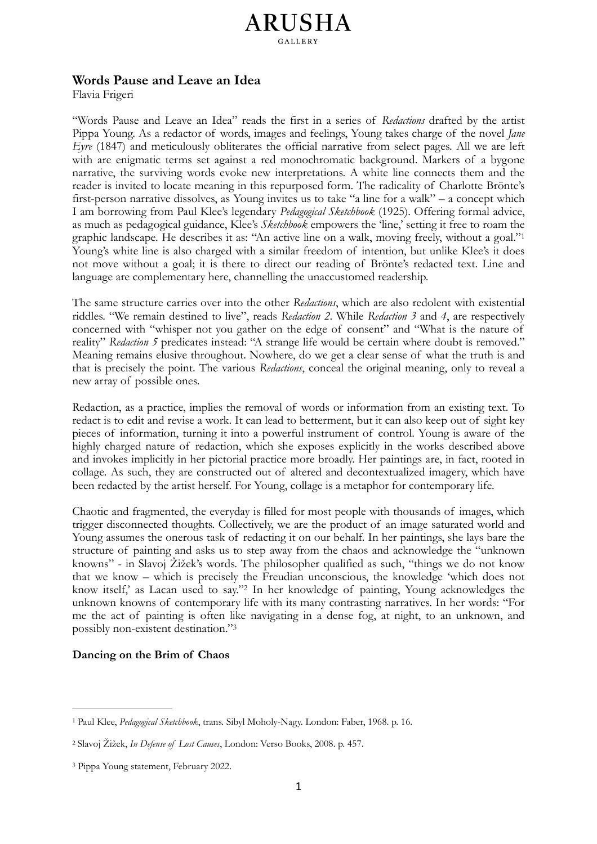## <span id="page-0-3"></span>**ARUSHA**

## **Words Pause and Leave an Idea**

Flavia Frigeri

"Words Pause and Leave an Idea" reads the first in a series of *Redactions* drafted by the artist Pippa Young. As a redactor of words, images and feelings, Young takes charge of the novel *Jane Eyre* (1847) and meticulously obliterates the official narrative from select pages. All we are left with are enigmatic terms set against a red monochromatic background. Markers of a bygone narrative, the surviving words evoke new interpretations. A white line connects them and the reader is invited to locate meaning in this repurposed form. The radicality of Charlotte Brönte's first-person narrative dissolves, as Young invites us to take "a line for a walk" – a concept which I am borrowing from Paul Klee's legendary *Pedagogical Sketchbook* (1925). Offering formal advice, as much as pedagogical guidance, Klee's *Sketchbook* empowers the 'line,' setting it free to roam the graphic landscape. He describes it as: "An active line on a walk, moving freely, without a goal.["1](#page-0-0) Young's white line is also charged with a similar freedom of intention, but unlike Klee's it does not move without a goal; it is there to direct our reading of Brönte's redacted text. Line and language are complementary here, channelling the unaccustomed readership.

The same structure carries over into the other *Redactions*, which are also redolent with existential riddles. "We remain destined to live", reads *Redaction 2*. While *Redaction 3* and *4*, are respectively concerned with "whisper not you gather on the edge of consent" and "What is the nature of reality" *Redaction 5* predicates instead: "A strange life would be certain where doubt is removed." Meaning remains elusive throughout. Nowhere, do we get a clear sense of what the truth is and that is precisely the point. The various *Redactions*, conceal the original meaning, only to reveal a new array of possible ones.

Redaction, as a practice, implies the removal of words or information from an existing text. To redact is to edit and revise a work. It can lead to betterment, but it can also keep out of sight key pieces of information, turning it into a powerful instrument of control. Young is aware of the highly charged nature of redaction, which she exposes explicitly in the works described above and invokes implicitly in her pictorial practice more broadly. Her paintings are, in fact, rooted in collage. As such, they are constructed out of altered and decontextualized imagery, which have been redacted by the artist herself. For Young, collage is a metaphor for contemporary life.

Chaotic and fragmented, the everyday is filled for most people with thousands of images, which trigger disconnected thoughts. Collectively, we are the product of an image saturated world and Young assumes the onerous task of redacting it on our behalf. In her paintings, she lays bare the structure of painting and asks us to step away from the chaos and acknowledge the "unknown knowns" - in Slavoj Žižek's words. The philosopher qualified as such, "things we do not know that we know – which is precisely the Freudian unconscious, the knowledge 'which does not knowitself,' as Lacan used to say."<sup>[2](#page-0-1)</sup> In her knowledge of painting, Young acknowledges the unknown knowns of contemporary life with its many contrasting narratives. In her words: "For me the act of painting is often like navigating in a dense fog, at night, to an unknown, and possibly non-existent destination.["3](#page-0-2)

## <span id="page-0-5"></span><span id="page-0-4"></span>**Dancing on the Brim of Chaos**

<span id="page-0-0"></span>Paul Klee, *Pedagogical Sketchbook*, trans. Sibyl Moholy-Nagy. London: Faber, 1968. p. 16. [1](#page-0-3)

<span id="page-0-1"></span>Slavoj Žižek, *In Defense of Lost Causes*, London: Verso Books, 2008. p. 457. [2](#page-0-4)

<span id="page-0-2"></span><sup>&</sup>lt;sup>[3](#page-0-5)</sup> Pippa Young statement, February 2022.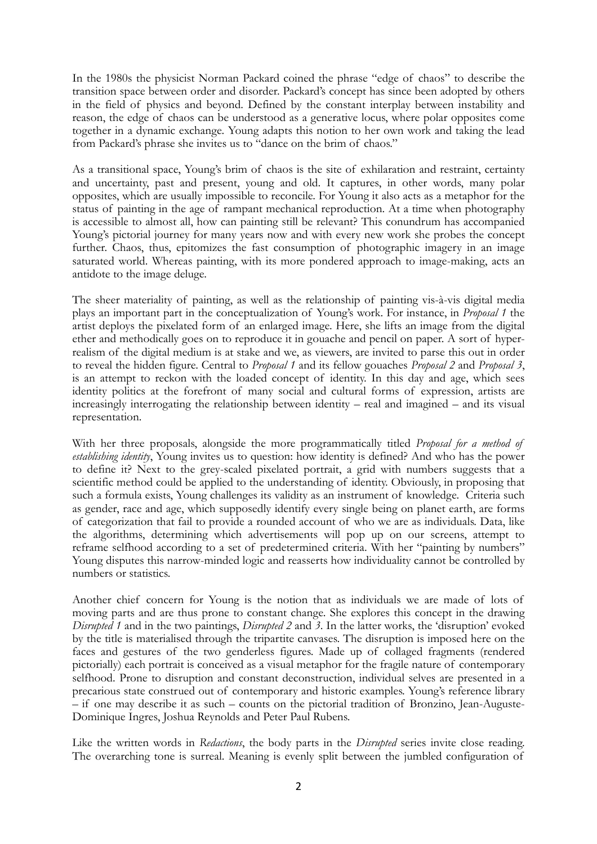In the 1980s the physicist Norman Packard coined the phrase "edge of chaos" to describe the transition space between order and disorder. Packard's concept has since been adopted by others in the field of physics and beyond. Defined by the constant interplay between instability and reason, the edge of chaos can be understood as a generative locus, where polar opposites come together in a dynamic exchange. Young adapts this notion to her own work and taking the lead from Packard's phrase she invites us to "dance on the brim of chaos."

As a transitional space, Young's brim of chaos is the site of exhilaration and restraint, certainty and uncertainty, past and present, young and old. It captures, in other words, many polar opposites, which are usually impossible to reconcile. For Young it also acts as a metaphor for the status of painting in the age of rampant mechanical reproduction. At a time when photography is accessible to almost all, how can painting still be relevant? This conundrum has accompanied Young's pictorial journey for many years now and with every new work she probes the concept further. Chaos, thus, epitomizes the fast consumption of photographic imagery in an image saturated world. Whereas painting, with its more pondered approach to image-making, acts an antidote to the image deluge.

The sheer materiality of painting, as well as the relationship of painting vis-à-vis digital media plays an important part in the conceptualization of Young's work. For instance, in *Proposal 1* the artist deploys the pixelated form of an enlarged image. Here, she lifts an image from the digital ether and methodically goes on to reproduce it in gouache and pencil on paper. A sort of hyperrealism of the digital medium is at stake and we, as viewers, are invited to parse this out in order to reveal the hidden figure. Central to *Proposal 1* and its fellow gouaches *Proposal 2* and *Proposal 3*, is an attempt to reckon with the loaded concept of identity. In this day and age, which sees identity politics at the forefront of many social and cultural forms of expression, artists are increasingly interrogating the relationship between identity – real and imagined – and its visual representation.

With her three proposals, alongside the more programmatically titled *Proposal for a method of establishing identity*, Young invites us to question: how identity is defined? And who has the power to define it? Next to the grey-scaled pixelated portrait, a grid with numbers suggests that a scientific method could be applied to the understanding of identity. Obviously, in proposing that such a formula exists, Young challenges its validity as an instrument of knowledge. Criteria such as gender, race and age, which supposedly identify every single being on planet earth, are forms of categorization that fail to provide a rounded account of who we are as individuals. Data, like the algorithms, determining which advertisements will pop up on our screens, attempt to reframe selfhood according to a set of predetermined criteria. With her "painting by numbers" Young disputes this narrow-minded logic and reasserts how individuality cannot be controlled by numbers or statistics.

Another chief concern for Young is the notion that as individuals we are made of lots of moving parts and are thus prone to constant change. She explores this concept in the drawing *Disrupted 1* and in the two paintings, *Disrupted 2* and *3*. In the latter works, the 'disruption' evoked by the title is materialised through the tripartite canvases. The disruption is imposed here on the faces and gestures of the two genderless figures. Made up of collaged fragments (rendered pictorially) each portrait is conceived as a visual metaphor for the fragile nature of contemporary selfhood. Prone to disruption and constant deconstruction, individual selves are presented in a precarious state construed out of contemporary and historic examples. Young's reference library – if one may describe it as such – counts on the pictorial tradition of Bronzino, Jean-Auguste-Dominique Ingres, Joshua Reynolds and Peter Paul Rubens.

Like the written words in *Redactions*, the body parts in the *Disrupted* series invite close reading. The overarching tone is surreal. Meaning is evenly split between the jumbled configuration of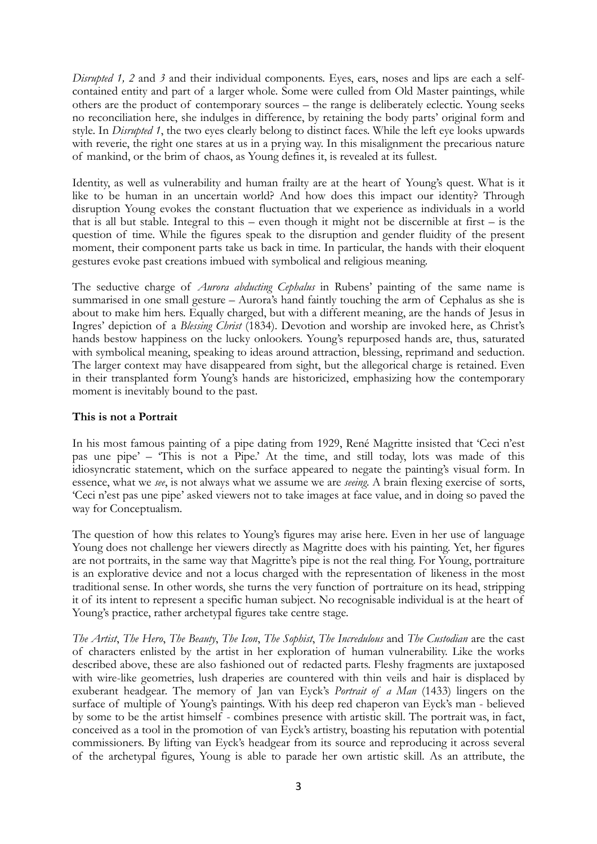*Disrupted 1, 2* and 3 and their individual components. Eyes, ears, noses and lips are each a selfcontained entity and part of a larger whole. Some were culled from Old Master paintings, while others are the product of contemporary sources – the range is deliberately eclectic. Young seeks no reconciliation here, she indulges in difference, by retaining the body parts' original form and style. In *Disrupted 1*, the two eyes clearly belong to distinct faces. While the left eye looks upwards with reverie, the right one stares at us in a prying way. In this misalignment the precarious nature of mankind, or the brim of chaos, as Young defines it, is revealed at its fullest.

Identity, as well as vulnerability and human frailty are at the heart of Young's quest. What is it like to be human in an uncertain world? And how does this impact our identity? Through disruption Young evokes the constant fluctuation that we experience as individuals in a world that is all but stable. Integral to this – even though it might not be discernible at first – is the question of time. While the figures speak to the disruption and gender fluidity of the present moment, their component parts take us back in time. In particular, the hands with their eloquent gestures evoke past creations imbued with symbolical and religious meaning.

The seductive charge of *Aurora abducting Cephalus* in Rubens' painting of the same name is summarised in one small gesture – Aurora's hand faintly touching the arm of Cephalus as she is about to make him hers. Equally charged, but with a different meaning, are the hands of Jesus in Ingres' depiction of a *Blessing Christ* (1834). Devotion and worship are invoked here, as Christ's hands bestow happiness on the lucky onlookers. Young's repurposed hands are, thus, saturated with symbolical meaning, speaking to ideas around attraction, blessing, reprimand and seduction. The larger context may have disappeared from sight, but the allegorical charge is retained. Even in their transplanted form Young's hands are historicized, emphasizing how the contemporary moment is inevitably bound to the past.

## **This is not a Portrait**

In his most famous painting of a pipe dating from 1929, René Magritte insisted that 'Ceci n'est pas une pipe' – 'This is not a Pipe.' At the time, and still today, lots was made of this idiosyncratic statement, which on the surface appeared to negate the painting's visual form. In essence, what we *see*, is not always what we assume we are *seeing*. A brain flexing exercise of sorts, 'Ceci n'est pas une pipe' asked viewers not to take images at face value, and in doing so paved the way for Conceptualism.

The question of how this relates to Young's figures may arise here. Even in her use of language Young does not challenge her viewers directly as Magritte does with his painting. Yet, her figures are not portraits, in the same way that Magritte's pipe is not the real thing. For Young, portraiture is an explorative device and not a locus charged with the representation of likeness in the most traditional sense. In other words, she turns the very function of portraiture on its head, stripping it of its intent to represent a specific human subject. No recognisable individual is at the heart of Young's practice, rather archetypal figures take centre stage.

*The Artist*, *The Hero*, *The Beauty*, *The Icon*, *The Sophist*, *The Incredulous* and *The Custodian* are the cast of characters enlisted by the artist in her exploration of human vulnerability. Like the works described above, these are also fashioned out of redacted parts. Fleshy fragments are juxtaposed with wire-like geometries, lush draperies are countered with thin veils and hair is displaced by exuberant headgear. The memory of Jan van Eyck's *Portrait of a Man* (1433) lingers on the surface of multiple of Young's paintings. With his deep red chaperon van Eyck's man - believed by some to be the artist himself - combines presence with artistic skill. The portrait was, in fact, conceived as a tool in the promotion of van Eyck's artistry, boasting his reputation with potential commissioners. By lifting van Eyck's headgear from its source and reproducing it across several of the archetypal figures, Young is able to parade her own artistic skill. As an attribute, the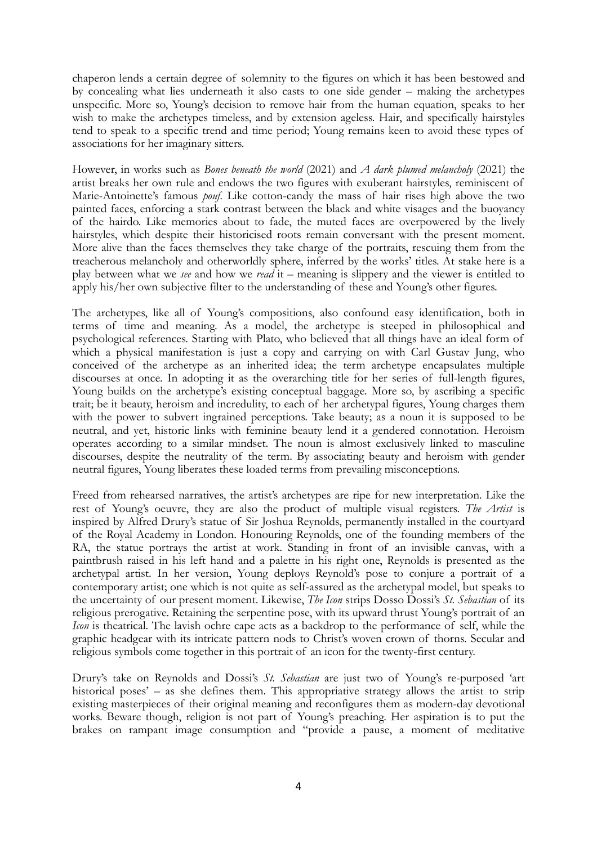chaperon lends a certain degree of solemnity to the figures on which it has been bestowed and by concealing what lies underneath it also casts to one side gender – making the archetypes unspecific. More so, Young's decision to remove hair from the human equation, speaks to her wish to make the archetypes timeless, and by extension ageless. Hair, and specifically hairstyles tend to speak to a specific trend and time period; Young remains keen to avoid these types of associations for her imaginary sitters.

However, in works such as *Bones beneath the world* (2021) and *A dark plumed melancholy* (2021) the artist breaks her own rule and endows the two figures with exuberant hairstyles, reminiscent of Marie-Antoinette's famous *pouf*. Like cotton-candy the mass of hair rises high above the two painted faces, enforcing a stark contrast between the black and white visages and the buoyancy of the hairdo. Like memories about to fade, the muted faces are overpowered by the lively hairstyles, which despite their historicised roots remain conversant with the present moment. More alive than the faces themselves they take charge of the portraits, rescuing them from the treacherous melancholy and otherworldly sphere, inferred by the works' titles. At stake here is a play between what we *see* and how we *read* it – meaning is slippery and the viewer is entitled to apply his/her own subjective filter to the understanding of these and Young's other figures.

The archetypes, like all of Young's compositions, also confound easy identification, both in terms of time and meaning. As a model, the archetype is steeped in philosophical and psychological references. Starting with Plato, who believed that all things have an ideal form of which a physical manifestation is just a copy and carrying on with Carl Gustav Jung, who conceived of the archetype as an inherited idea; the term archetype encapsulates multiple discourses at once. In adopting it as the overarching title for her series of full-length figures, Young builds on the archetype's existing conceptual baggage. More so, by ascribing a specific trait; be it beauty, heroism and incredulity, to each of her archetypal figures, Young charges them with the power to subvert ingrained perceptions. Take beauty; as a noun it is supposed to be neutral, and yet, historic links with feminine beauty lend it a gendered connotation. Heroism operates according to a similar mindset. The noun is almost exclusively linked to masculine discourses, despite the neutrality of the term. By associating beauty and heroism with gender neutral figures, Young liberates these loaded terms from prevailing misconceptions.

Freed from rehearsed narratives, the artist's archetypes are ripe for new interpretation. Like the rest of Young's oeuvre, they are also the product of multiple visual registers. *The Artist* is inspired by Alfred Drury's statue of Sir Joshua Reynolds, permanently installed in the courtyard of the Royal Academy in London. Honouring Reynolds, one of the founding members of the RA, the statue portrays the artist at work. Standing in front of an invisible canvas, with a paintbrush raised in his left hand and a palette in his right one, Reynolds is presented as the archetypal artist. In her version, Young deploys Reynold's pose to conjure a portrait of a contemporary artist; one which is not quite as self-assured as the archetypal model, but speaks to the uncertainty of our present moment. Likewise, *The Icon* strips Dosso Dossi's *St. Sebastian* of its religious prerogative. Retaining the serpentine pose, with its upward thrust Young's portrait of an *Icon* is theatrical. The lavish ochre cape acts as a backdrop to the performance of self, while the graphic headgear with its intricate pattern nods to Christ's woven crown of thorns. Secular and religious symbols come together in this portrait of an icon for the twenty-first century.

Drury's take on Reynolds and Dossi's *St. Sebastian* are just two of Young's re-purposed 'art historical poses' – as she defines them. This appropriative strategy allows the artist to strip existing masterpieces of their original meaning and reconfigures them as modern-day devotional works. Beware though, religion is not part of Young's preaching. Her aspiration is to put the brakes on rampant image consumption and "provide a pause, a moment of meditative